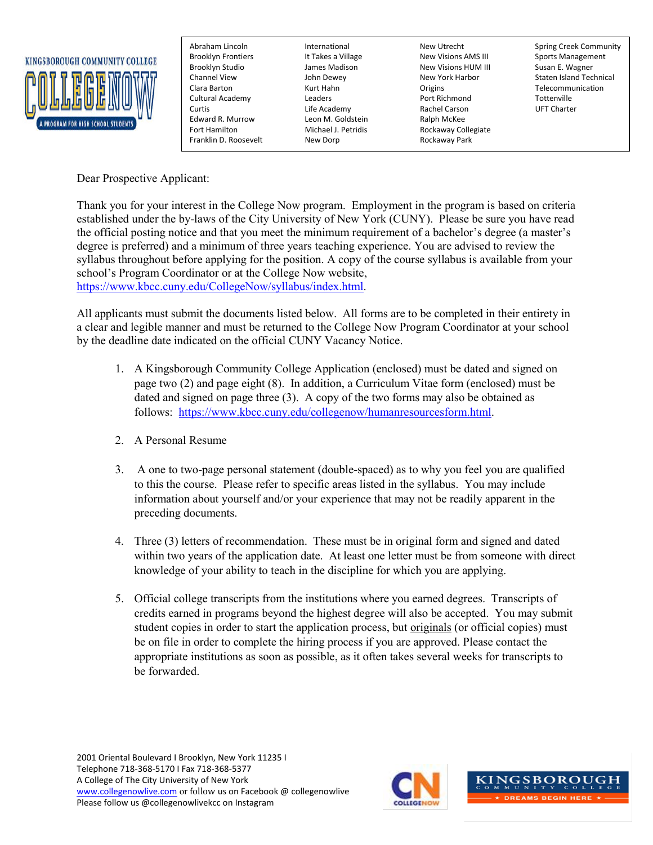

Edward R. Murrow Leon M. Goldstein Ralph McKee Franklin D. Roosevelt New Dorp Rockaway Park

Brooklyn Frontiers The It Takes a Village New Visions AMS III Sports Management Brooklyn Studio James Madison New Visions HUM III Susan E. Wagner Clara Barton Kurt Hahn Origins Telecommunication Cultural Academy Leaders Port Richmond Tottenville Curtis Life Academy Rachel Carson UFT Charter Fort Hamilton Michael J. Petridis Rockaway Collegiate

Abraham Lincoln **International** International New Utrecht Spring Creek Community John Dewey New York Harbor Staten Island Technical

Dear Prospective Applicant:

Thank you for your interest in the College Now program. Employment in the program is based on criteria established under the by-laws of the City University of New York (CUNY). Please be sure you have read the official posting notice and that you meet the minimum requirement of a bachelor's degree (a master's degree is preferred) and a minimum of three years teaching experience. You are advised to review the syllabus throughout before applying for the position. A copy of the course syllabus is available from your school's Program Coordinator or at the College Now website,

[https://www.kbcc.cuny.edu/CollegeNow/syllabus/index.html.](https://www.kbcc.cuny.edu/CollegeNow/syllabus/index.html)

All applicants must submit the documents listed below. All forms are to be completed in their entirety in a clear and legible manner and must be returned to the College Now Program Coordinator at your school by the deadline date indicated on the official CUNY Vacancy Notice.

- 1. A Kingsborough Community College Application (enclosed) must be dated and signed on page two (2) and page eight (8). In addition, a Curriculum Vitae form (enclosed) must be dated and signed on page three (3). A copy of the two forms may also be obtained as follows: [https://www.kbcc.cuny.edu/collegenow/humanresourcesform.html.](https://www.kbcc.cuny.edu/collegenow/humanresourcesform.html)
- 2. A Personal Resume
- 3. A one to two-page personal statement (double-spaced) as to why you feel you are qualified to this the course. Please refer to specific areas listed in the syllabus. You may include information about yourself and/or your experience that may not be readily apparent in the preceding documents.
- 4. Three (3) letters of recommendation. These must be in original form and signed and dated within two years of the application date. At least one letter must be from someone with direct knowledge of your ability to teach in the discipline for which you are applying.
- 5. Official college transcripts from the institutions where you earned degrees. Transcripts of credits earned in programs beyond the highest degree will also be accepted. You may submit student copies in order to start the application process, but originals (or official copies) must be on file in order to complete the hiring process if you are approved. Please contact the appropriate institutions as soon as possible, as it often takes several weeks for transcripts to be forwarded.